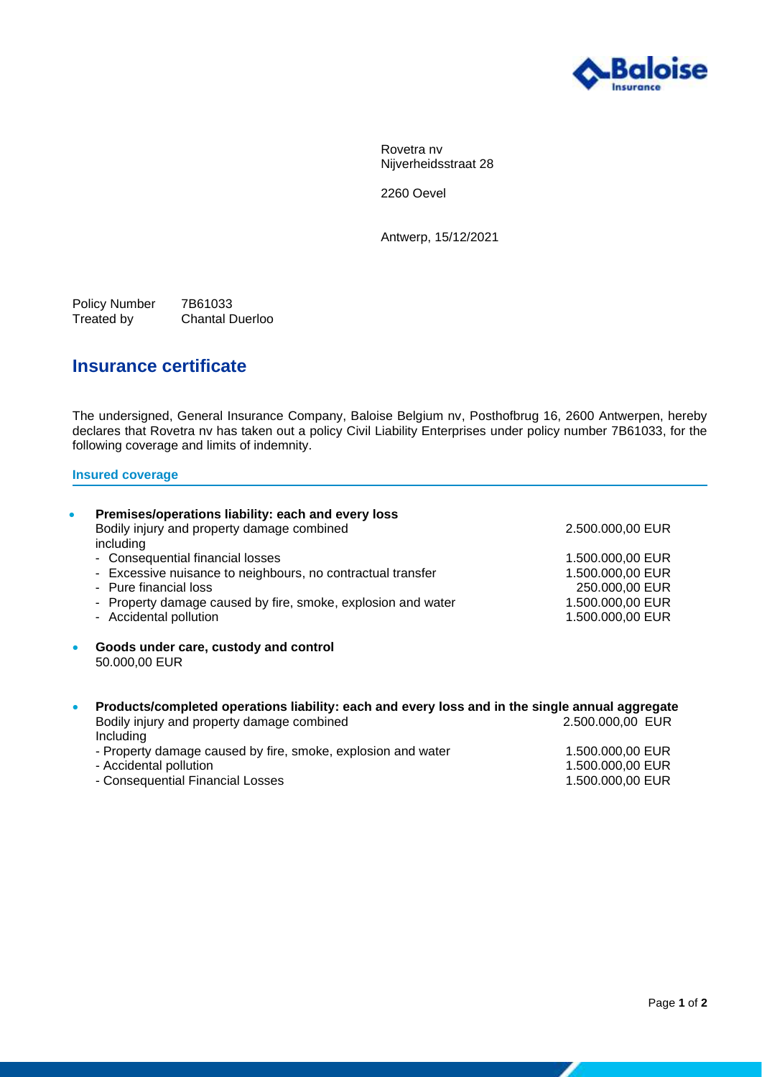

Rovetra nv Nijverheidsstraat 28

2260 Oevel

Antwerp, 15/12/2021

Policy Number 7B61033<br>Treated by Chantal D Chantal Duerloo

## **Insurance certificate**

The undersigned, General Insurance Company, Baloise Belgium nv, Posthofbrug 16, 2600 Antwerpen, hereby declares that Rovetra nv has taken out a policy Civil Liability Enterprises under policy number 7B61033, for the following coverage and limits of indemnity.

## **Insured coverage**

| $\bullet$ | Premises/operations liability: each and every loss<br>Bodily injury and property damage combined<br>including | 2.500.000,00 EUR  |
|-----------|---------------------------------------------------------------------------------------------------------------|-------------------|
|           | - Consequential financial losses                                                                              | 1.500.000,00 EUR  |
|           | - Excessive nuisance to neighbours, no contractual transfer                                                   | 1.500.000,00 EUR  |
|           | - Pure financial loss                                                                                         | 250,000,00 EUR    |
|           | - Property damage caused by fire, smoke, explosion and water                                                  | 1.500.000,00 EUR  |
|           | - Accidental pollution                                                                                        | 1.500.000,00 EUR  |
| $\bullet$ | Goods under care, custody and control<br>50.000,00 EUR                                                        |                   |
| $\bullet$ | Products/completed operations liability: each and every loss and in the single annual aggregate               |                   |
|           | Bodily injury and property damage combined<br>Including                                                       | 2.500.000,00 EUR  |
|           | Desparte demons coursed buffer smalle, symbolis cardinate                                                     | 4.500.000.00.FLID |

- Property damage caused by fire, smoke, explosion and water 1.500.000,00 EUR<br>Accidental pollution 1.500.000,00 EUR - Accidental pollution 1.500.000,00 EUR<br>
- Consequential Financial Losses 1.500.000,00 EUR<br>
1.500.000,00 EUR - Consequential Financial Losses